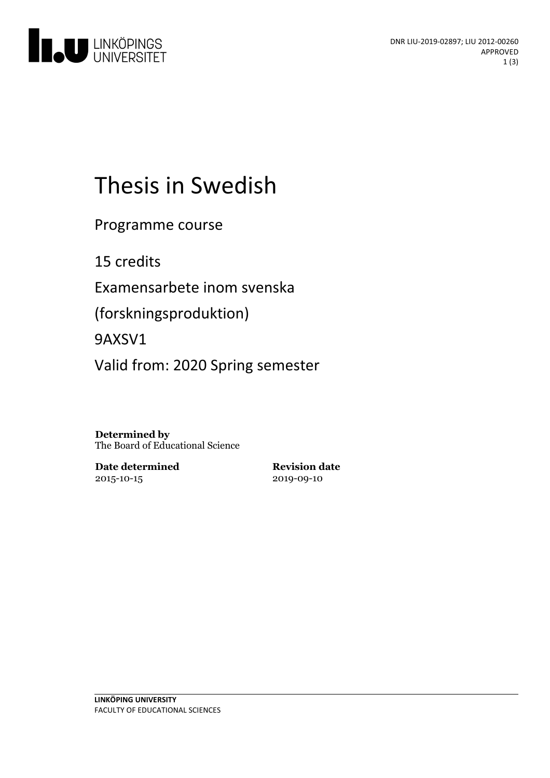

# Thesis in Swedish

Programme course

15 credits

Examensarbete inom svenska

(forskningsproduktion)

9AXSV1

Valid from: 2020 Spring semester

**Determined by** The Board of Educational Science

**Date determined** 2015-10-15

**Revision date** 2019-09-10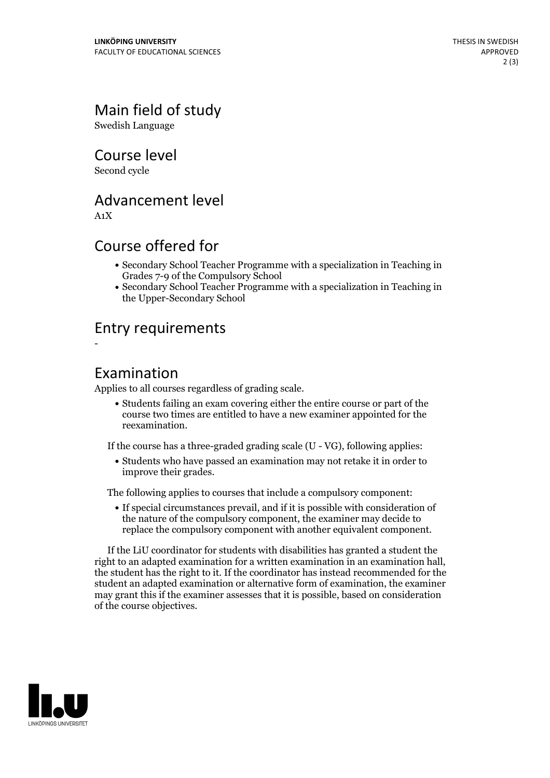## Main field of study

Swedish Language

### Course level

Second cycle

## Advancement level

A1X

-

## Course offered for

- Secondary School Teacher Programme with a specialization in Teaching in Grades 7-9 of the Compulsory School
- Secondary School Teacher Programme with a specialization in Teaching in the Upper-Secondary School

## Entry requirements

#### Examination

Applies to all courses regardless of grading scale.

Students failing an exam covering either the entire course or part of the course two times are entitled to have a new examiner appointed for the reexamination.

If the course has a three-graded grading scale (U - VG), following applies:

Students who have passed an examination may not retake it in order to improve their grades.

The following applies to courses that include a compulsory component:

If special circumstances prevail, and if it is possible with consideration of the nature of the compulsory component, the examiner may decide to replace the compulsory component with another equivalent component.

If the LiU coordinator for students with disabilities has granted a student the right to an adapted examination for a written examination in an examination hall. the student has the right to it. If the coordinator has instead recommended for the student an adapted examination or alternative form of examination, the examiner may grant this if the examiner assesses that it is possible, based on consideration of the course objectives.